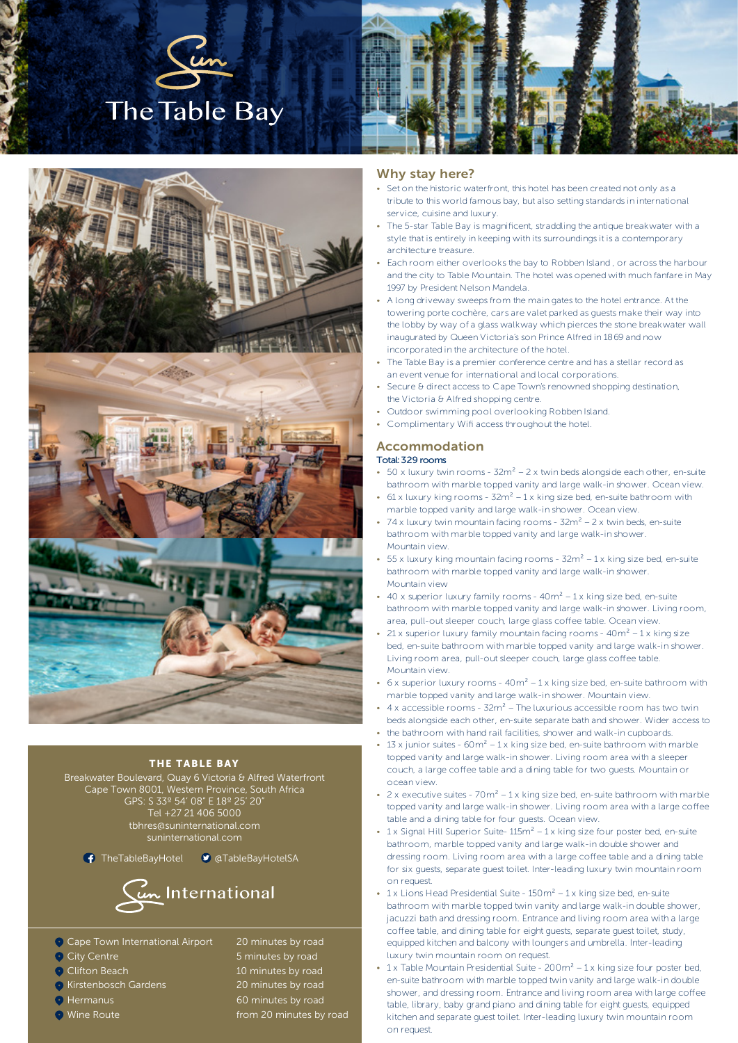





## THE TABLE BAY

Breakwater Boulevard, Quay 6 Victoria & Alfred Waterfront Cape Town 8001, Western Province, South Africa GPS: S 33º 54' 08" E 18º 25' 20" Tel +27 21 406 5000 tbhres@suninternational.com suninternational.com

← TheTableBayHotel ● aTableBayHotelSA



- Cape Town International Airport 20 minutes by road
- 
- 
- **•** Kirstenbosch Gardens 20 minutes by road
- 
- 

City Centre 6 and 5 minutes by road **O** Clifton Beach **10** minutes by road **•** Hermanus **60 minutes by road O** Wine Route **from 20 minutes by road** 

## Why stay here?

- Set on the historic waterfront, this hotel has been created not only as a tribute to this world famous bay, but also setting standards in international service, cuisine and luxury.
- The 5-star Table Bay is magnificent, straddling the antique breakwater with a style that is entirely in keeping with its surroundings it is a contemporary architecture treasure.
- Each room either overlooks the bay to Robben Island , or across the harbour and the city to Table Mountain. The hotel was opened with much fanfare in May 1997 by President Nelson Mandela.
- A long driveway sweeps from the main gates to the hotel entrance. At the towering porte cochère, cars are valet parked as guests make their way into the lobby by way of a glass walkway which pierces the stone breakwater wall inaugurated by Queen Victoria's son Prince Alfred in 1869 and now incorporated in the architecture of the hotel.
- The Table Bay is a premier conference centre and has a stellar record as an event venue for international and local corporations.
- Secure & direct access to Cape Town's renowned shopping destination, the Victoria & Alfred shopping centre.
- Outdoor swimming pool overlooking Robben Island.
- Complimentary Wifi access throughout the hotel

## Accommodation

#### Total: 329 rooms

- 50 x luxury twin rooms  $32m^2 2x$  twin beds alongside each other, en-suite bathroom with marble topped vanity and large walk-in shower. Ocean view.
- 61 x luxury king rooms  $32m^2 1$  x king size bed, en-suite bathroom with marble topped vanity and large walk-in shower. Ocean view.
- 74 x luxury twin mountain facing rooms  $32m^2 2x$  twin beds, en-suite bathroom with marble topped vanity and large walk-in shower. Mountain view.
- 55 x luxury king mountain facing rooms  $32m^2 1$  x king size bed, en-suite bathroom with marble topped vanity and large walk-in shower. Mountain view
- 40 x superior luxury family rooms  $40m^2 1x$  king size bed, en-suite bathroom with marble topped vanity and large walk-in shower. Living room, area, pull-out sleeper couch, large glass coffee table. Ocean view.
- 21 x superior luxury family mountain facing rooms  $40m^2 1x$  king size bed, en-suite bathroom with marble topped vanity and large walk-in shower. Living room area, pull-out sleeper couch, large glass coffee table. Mountain view.
- $6x$  superior luxury rooms  $40m^2 1x$  king size bed, en-suite bathroom with marble topped vanity and large walk-in shower. Mountain view.
- $4 \times$  accessible rooms  $32m^2$  The luxurious accessible room has two twin beds alongside each other, en-suite separate bath and shower. Wider access to
- the bathroom with hand rail facilities, shower and walk-in cupboards. • 13 x junior suites -  $60m^2 - 1x$  king size bed, en-suite bathroom with marble topped vanity and large walk-in shower. Living room area with a sleeper couch, a large coffee table and a dining table for two quests. Mountain or ocean view.
- 2 x executive suites  $70m^2 1x$  king size bed, en-suite bathroom with marble topped vanity and large walk-in shower. Living room area with a large coffee table and a dining table for four guests. Ocean view.
- $1 \times$  Signal Hill Superior Suite-  $115m^2 1 \times$  king size four poster bed, en-suite bathroom, marble topped vanity and large walk-in double shower and dressing room. Living room area with a large coffee table and a dining table for six guests, separate guest toilet. Inter-leading luxury twin mountain room on request.
- 1 x Lions Head Presidential Suite  $150m^2 1$  x king size bed, en-suite bathroom with marble topped twin vanity and large walk-in double shower, jacuzzi bath and dressing room. Entrance and living room area with a large coffee table, and dining table for eight guests, separate guest toilet, study, equipped kitchen and balcony with loungers and umbrella. Inter-leading luxury twin mountain room on request.
- $\cdot$  1 x Table Mountain Presidential Suite 200 $m^2$  1 x king size four poster bed, en-suite bathroom with marble topped twin vanity and large walk-in double shower, and dressing room. Entrance and living room area with large coffee table, library, baby grand piano and dining table for eight guests, equipped kitchen and separate guest toilet. Inter-leading luxury twin mountain room on request.